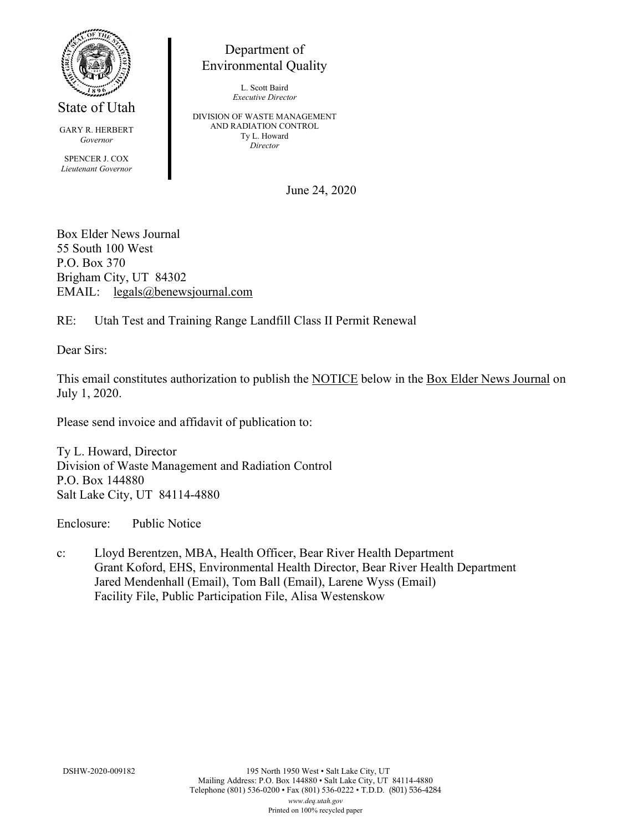

State of Utah

GARY R. HERBERT *Governor* SPENCER J. COX *Lieutenant Governor*

Department of Environmental Quality

> L. Scott Baird *Executive Director*

DIVISION OF WASTE MANAGEMENT AND RADIATION CONTROL Ty L. Howard *Director*

June 24, 2020

Box Elder News Journal 55 South 100 West P.O. Box 370 Brigham City, UT 84302 EMAIL: legals@benewsjournal.com

RE: Utah Test and Training Range Landfill Class II Permit Renewal

Dear Sirs:

This email constitutes authorization to publish the NOTICE below in the Box Elder News Journal on July 1, 2020.

Please send invoice and affidavit of publication to:

Ty L. Howard, Director Division of Waste Management and Radiation Control P.O. Box 144880 Salt Lake City, UT 84114-4880

Enclosure: Public Notice

c: Lloyd Berentzen, MBA, Health Officer, Bear River Health Department Grant Koford, EHS, Environmental Health Director, Bear River Health Department Jared Mendenhall (Email), Tom Ball (Email), Larene Wyss (Email) Facility File, Public Participation File, Alisa Westenskow